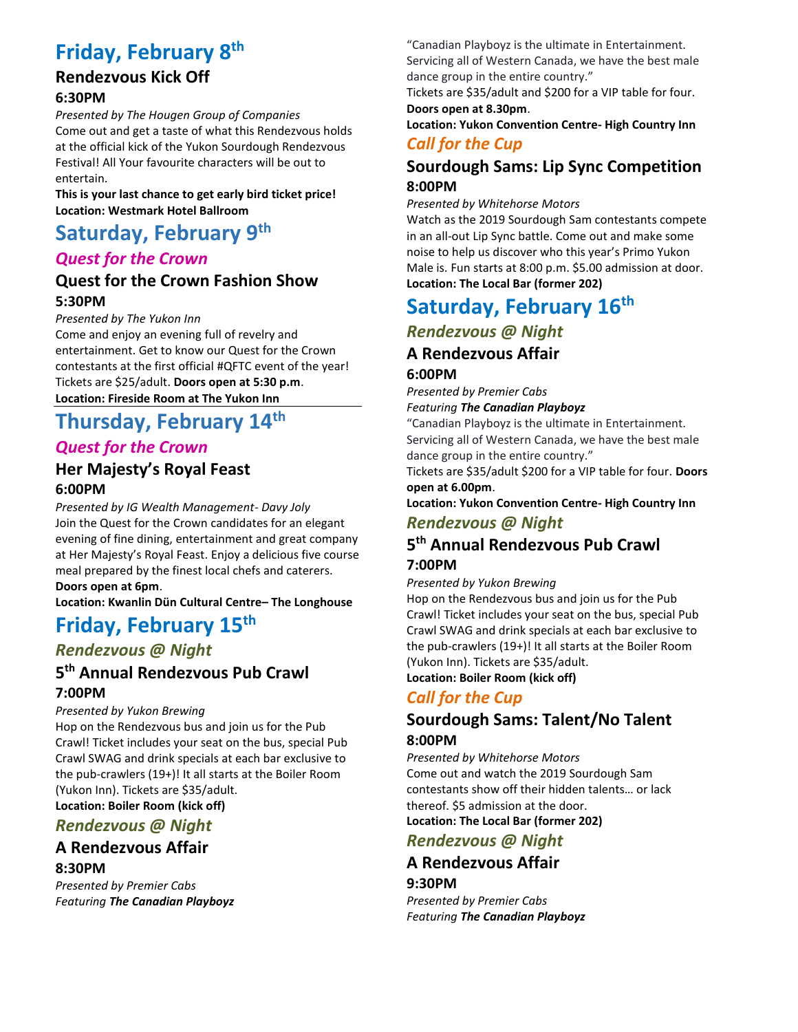# **Friday, February 8th**

## **Rendezvous Kick Off 6:30PM**

*Presented by The Hougen Group of Companies* Come out and get a taste of what this Rendezvous holds at the official kick of the Yukon Sourdough Rendezvous Festival! All Your favourite characters will be out to entertain.

**This is your last chance to get early bird ticket price! Location: Westmark Hotel Ballroom**

# **Saturday, February 9th**

## *Quest for the Crown*

## **Quest for the Crown Fashion Show 5:30PM**

*Presented by The Yukon Inn*

Come and enjoy an evening full of revelry and entertainment. Get to know our Quest for the Crown contestants at the first official #QFTC event of the year! Tickets are \$25/adult. **Doors open at 5:30 p.m**. **Location: Fireside Room at The Yukon Inn**

# **Thursday, February 14th**

## *Quest for the Crown*

## **Her Majesty's Royal Feast 6:00PM**

*Presented by IG Wealth Management- Davy Joly* Join the Quest for the Crown candidates for an elegant evening of fine dining, entertainment and great company at Her Majesty's Royal Feast. Enjoy a delicious five course meal prepared by the finest local chefs and caterers. **Doors open at 6pm**.

**Location: Kwanlin Dün Cultural Centre– The Longhouse**

# **Friday, February 15th**

## *Rendezvous @ Night*

## **5 th Annual Rendezvous Pub Crawl 7:00PM**

### *Presented by Yukon Brewing*

Hop on the Rendezvous bus and join us for the Pub Crawl! Ticket includes your seat on the bus, special Pub Crawl SWAG and drink specials at each bar exclusive to the pub-crawlers (19+)! It all starts at the Boiler Room (Yukon Inn). Tickets are \$35/adult.

**Location: Boiler Room (kick off)**

## *Rendezvous @ Night*

## **A Rendezvous Affair**

## **8:30PM**

*Presented by Premier Cabs Featuring The Canadian Playboyz* "Canadian Playboyz is the ultimate in Entertainment. Servicing all of Western Canada, we have the best male

dance group in the entire country." Tickets are \$35/adult and \$200 for a VIP table for four.

**Doors open at 8.30pm**. **Location: Yukon Convention Centre- High Country Inn**

## *Call for the Cup*

## **Sourdough Sams: Lip Sync Competition 8:00PM**

*Presented by Whitehorse Motors*

Watch as the 2019 Sourdough Sam contestants compete in an all-out Lip Sync battle. Come out and make some noise to help us discover who this year's Primo Yukon Male is. Fun starts at 8:00 p.m. \$5.00 admission at door. **Location: The Local Bar (former 202)**

# **Saturday, February 16th**

# *Rendezvous @ Night*

## **A Rendezvous Affair**

### **6:00PM**

*Presented by Premier Cabs Featuring The Canadian Playboyz*

"Canadian Playboyz is the ultimate in Entertainment. Servicing all of Western Canada, we have the best male dance group in the entire country."

Tickets are \$35/adult \$200 for a VIP table for four. **Doors open at 6.00pm**.

**Location: Yukon Convention Centre- High Country Inn**

## *Rendezvous @ Night*

## **5 th Annual Rendezvous Pub Crawl**

## **7:00PM**

*Presented by Yukon Brewing*

Hop on the Rendezvous bus and join us for the Pub Crawl! Ticket includes your seat on the bus, special Pub Crawl SWAG and drink specials at each bar exclusive to the pub-crawlers (19+)! It all starts at the Boiler Room (Yukon Inn). Tickets are \$35/adult. **Location: Boiler Room (kick off)**

## *Call for the Cup*

## **Sourdough Sams: Talent/No Talent 8:00PM**

*Presented by Whitehorse Motors* Come out and watch the 2019 Sourdough Sam contestants show off their hidden talents… or lack thereof. \$5 admission at the door. **Location: The Local Bar (former 202)**

*Rendezvous @ Night*

## **A Rendezvous Affair 9:30PM**

*Presented by Premier Cabs Featuring The Canadian Playboyz*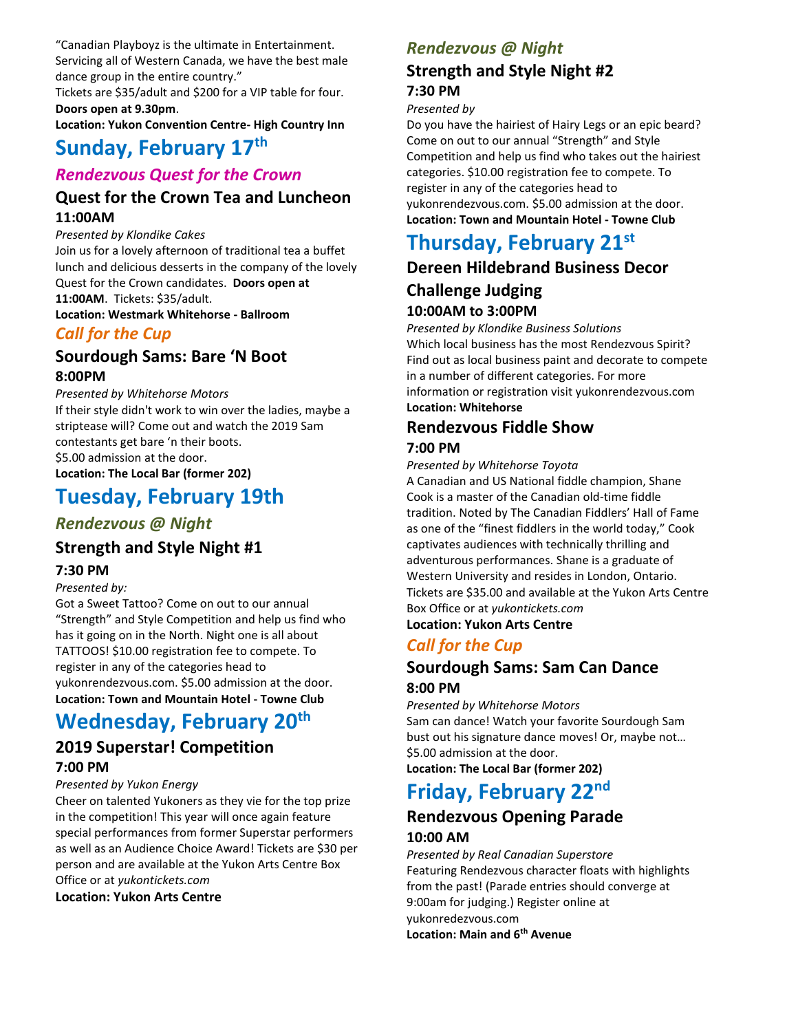"Canadian Playboyz is the ultimate in Entertainment. Servicing all of Western Canada, we have the best male dance group in the entire country."

Tickets are \$35/adult and \$200 for a VIP table for four. **Doors open at 9.30pm**.

**Location: Yukon Convention Centre- High Country Inn**

## **Sunday, February 17th**

## *Rendezvous Quest for the Crown*

## **Quest for the Crown Tea and Luncheon 11:00AM**

*Presented by Klondike Cakes*

Join us for a lovely afternoon of traditional tea a buffet lunch and delicious desserts in the company of the lovely Quest for the Crown candidates. **Doors open at 11:00AM**. Tickets: \$35/adult.

**Location: Westmark Whitehorse - Ballroom**

## *Call for the Cup*

## **Sourdough Sams: Bare 'N Boot 8:00PM**

## *Presented by Whitehorse Motors*

If their style didn't work to win over the ladies, maybe a striptease will? Come out and watch the 2019 Sam contestants get bare 'n their boots. \$5.00 admission at the door. **Location: The Local Bar (former 202)**

# **Tuesday, February 19th**

## *Rendezvous @ Night*

## **Strength and Style Night #1**

### **7:30 PM**

### *Presented by:*

Got a Sweet Tattoo? Come on out to our annual "Strength" and Style Competition and help us find who has it going on in the North. Night one is all about TATTOOS! \$10.00 registration fee to compete. To register in any of the categories head to yukonrendezvous.com. \$5.00 admission at the door. **Location: Town and Mountain Hotel - Towne Club**

# **Wednesday, February 20th**

## **2019 Superstar! Competition 7:00 PM**

### *Presented by Yukon Energy*

Cheer on talented Yukoners as they vie for the top prize in the competition! This year will once again feature special performances from former Superstar performers as well as an Audience Choice Award! Tickets are \$30 per person and are available at the Yukon Arts Centre Box Office or at *yukontickets.com*

### **Location: Yukon Arts Centre**

## *Rendezvous @ Night*

## **Strength and Style Night #2 7:30 PM**

## *Presented by*

Do you have the hairiest of Hairy Legs or an epic beard? Come on out to our annual "Strength" and Style Competition and help us find who takes out the hairiest categories. \$10.00 registration fee to compete. To register in any of the categories head to yukonrendezvous.com. \$5.00 admission at the door. **Location: Town and Mountain Hotel - Towne Club**

# **Thursday, February 21st**

## **Dereen Hildebrand Business Decor Challenge Judging 10:00AM to 3:00PM**

*Presented by Klondike Business Solutions* Which local business has the most Rendezvous Spirit? Find out as local business paint and decorate to compete in a number of different categories. For more information or registration visit yukonrendezvous.com **Location: Whitehorse**

### **Rendezvous Fiddle Show 7:00 PM**

## *Presented by Whitehorse Toyota*

A Canadian and US National fiddle champion, Shane Cook is a master of the Canadian old-time fiddle tradition. Noted by The Canadian Fiddlers' Hall of Fame as one of the "finest fiddlers in the world today," Cook captivates audiences with technically thrilling and adventurous performances. Shane is a graduate of Western University and resides in London, Ontario. Tickets are \$35.00 and available at the Yukon Arts Centre Box Office or at *yukontickets.com*

**Location: Yukon Arts Centre**

## *Call for the Cup*

## **Sourdough Sams: Sam Can Dance 8:00 PM**

*Presented by Whitehorse Motors* Sam can dance! Watch your favorite Sourdough Sam bust out his signature dance moves! Or, maybe not… \$5.00 admission at the door.

**Location: The Local Bar (former 202)**

# **Friday, February 22nd**

## **Rendezvous Opening Parade 10:00 AM**

*Presented by Real Canadian Superstore* Featuring Rendezvous character floats with highlights from the past! (Parade entries should converge at 9:00am for judging.) Register online at yukonredezvous.com **Location: Main and 6th Avenue**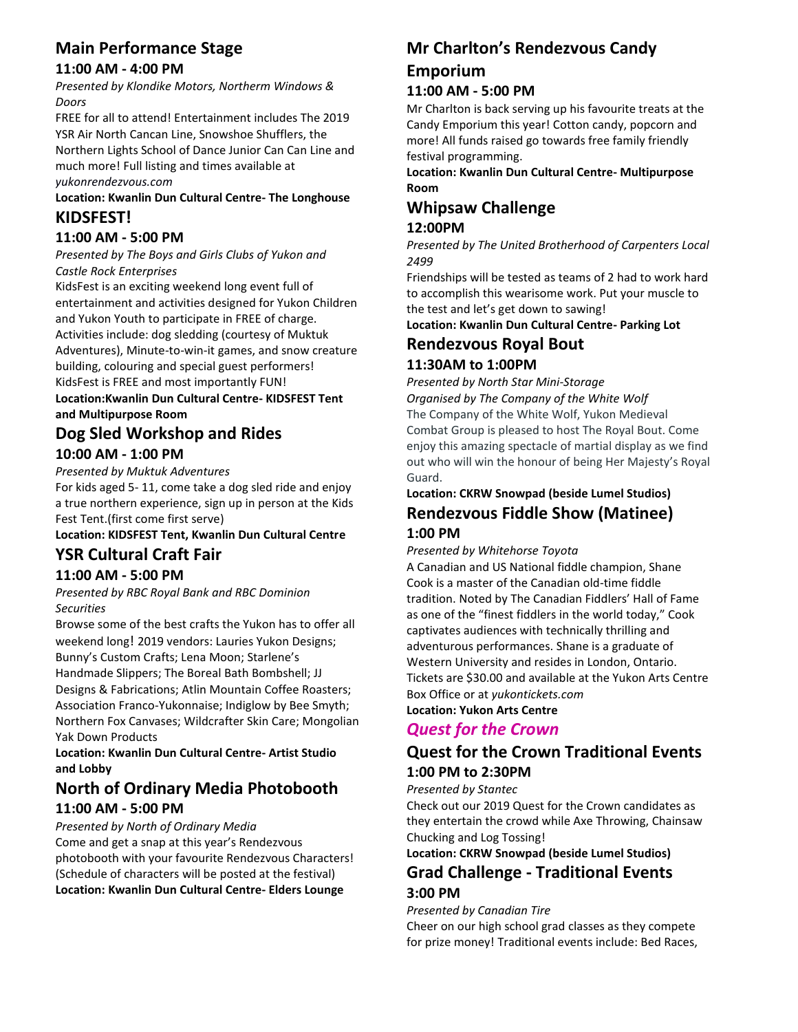## **Main Performance Stage**

### **11:00 AM - 4:00 PM**

*Presented by Klondike Motors, Northerm Windows & Doors*

FREE for all to attend! Entertainment includes The 2019 YSR Air North Cancan Line, Snowshoe Shufflers, the Northern Lights School of Dance Junior Can Can Line and much more! Full listing and times available at *yukonrendezvous.com*

### **Location: Kwanlin Dun Cultural Centre- The Longhouse KIDSFEST!**

## **11:00 AM - 5:00 PM**

### *Presented by The Boys and Girls Clubs of Yukon and Castle Rock Enterprises*

KidsFest is an exciting weekend long event full of entertainment and activities designed for Yukon Children and Yukon Youth to participate in FREE of charge. Activities include: dog sledding (courtesy of Muktuk Adventures), Minute-to-win-it games, and snow creature building, colouring and special guest performers! KidsFest is FREE and most importantly FUN! **Location:Kwanlin Dun Cultural Centre- KIDSFEST Tent and Multipurpose Room**

## **Dog Sled Workshop and Rides 10:00 AM - 1:00 PM**

*Presented by Muktuk Adventures* 

For kids aged 5- 11, come take a dog sled ride and enjoy a true northern experience, sign up in person at the Kids Fest Tent.(first come first serve)

# **Location: KIDSFEST Tent, Kwanlin Dun Cultural Centre**

## **YSR Cultural Craft Fair**

### **11:00 AM - 5:00 PM**

*Presented by RBC Royal Bank and RBC Dominion Securities* 

Browse some of the best crafts the Yukon has to offer all weekend long! 2019 vendors: Lauries Yukon Designs; Bunny's Custom Crafts; Lena Moon; Starlene's Handmade Slippers; The Boreal Bath Bombshell; JJ Designs & Fabrications; Atlin Mountain Coffee Roasters; Association Franco-Yukonnaise; Indiglow by Bee Smyth; Northern Fox Canvases; Wildcrafter Skin Care; Mongolian Yak Down Products

### **Location: Kwanlin Dun Cultural Centre- Artist Studio and Lobby**

# **North of Ordinary Media Photobooth**

## **11:00 AM - 5:00 PM**

*Presented by North of Ordinary Media* Come and get a snap at this year's Rendezvous photobooth with your favourite Rendezvous Characters! (Schedule of characters will be posted at the festival) **Location: Kwanlin Dun Cultural Centre- Elders Lounge**

## **Mr Charlton's Rendezvous Candy Emporium**

### **11:00 AM - 5:00 PM**

Mr Charlton is back serving up his favourite treats at the Candy Emporium this year! Cotton candy, popcorn and more! All funds raised go towards free family friendly festival programming.

**Location: Kwanlin Dun Cultural Centre- Multipurpose Room**

# **Whipsaw Challenge**

## **12:00PM**

*Presented by The United Brotherhood of Carpenters Local 2499* 

Friendships will be tested as teams of 2 had to work hard to accomplish this wearisome work. Put your muscle to the test and let's get down to sawing!

**Location: Kwanlin Dun Cultural Centre- Parking Lot**

## **Rendezvous Royal Bout**

## **11:30AM to 1:00PM**

*Presented by North Star Mini-Storage Organised by The Company of the White Wolf* The Company of the White Wolf, Yukon Medieval Combat Group is pleased to host The Royal Bout. Come enjoy this amazing spectacle of martial display as we find out who will win the honour of being Her Majesty's Royal Guard.

## **Location: CKRW Snowpad (beside Lumel Studios) Rendezvous Fiddle Show (Matinee) 1:00 PM**

*Presented by Whitehorse Toyota* 

A Canadian and US National fiddle champion, Shane Cook is a master of the Canadian old-time fiddle tradition. Noted by The Canadian Fiddlers' Hall of Fame as one of the "finest fiddlers in the world today," Cook captivates audiences with technically thrilling and adventurous performances. Shane is a graduate of Western University and resides in London, Ontario. Tickets are \$30.00 and available at the Yukon Arts Centre Box Office or at *yukontickets.com* **Location: Yukon Arts Centre**

## *Quest for the Crown*

## **Quest for the Crown Traditional Events 1:00 PM to 2:30PM**

*Presented by Stantec*

Check out our 2019 Quest for the Crown candidates as they entertain the crowd while Axe Throwing, Chainsaw Chucking and Log Tossing!

**Location: CKRW Snowpad (beside Lumel Studios)**

## **Grad Challenge - Traditional Events 3:00 PM**

### *Presented by Canadian Tire*

Cheer on our high school grad classes as they compete for prize money! Traditional events include: Bed Races,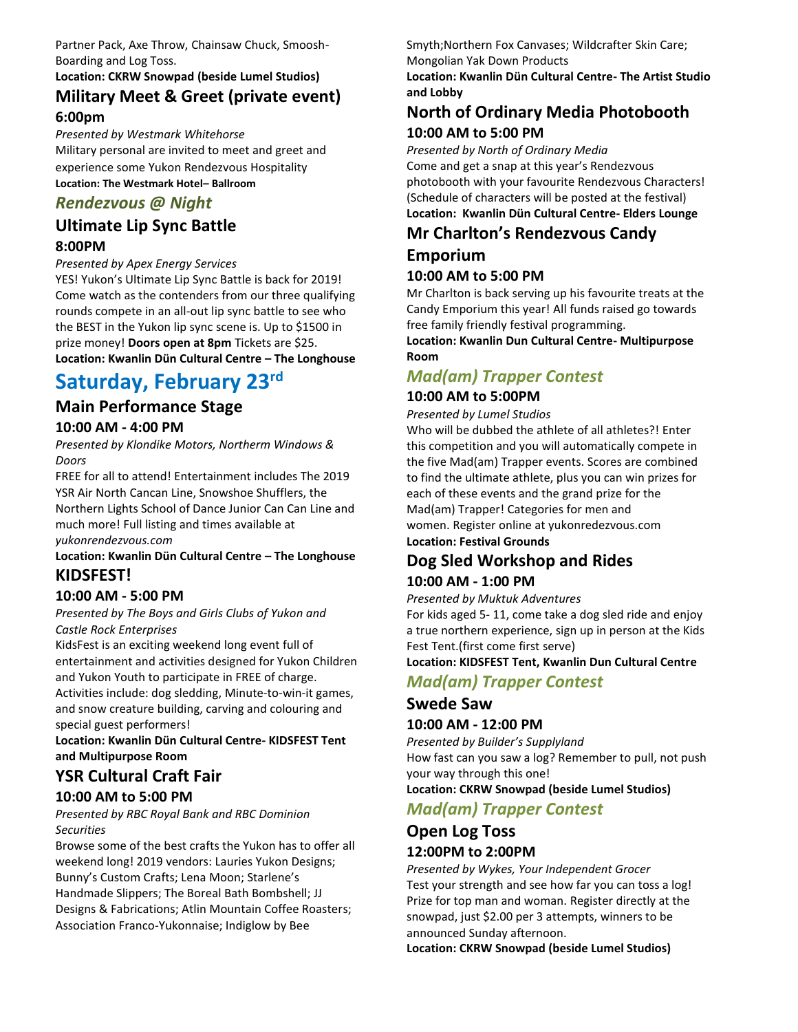Partner Pack, Axe Throw, Chainsaw Chuck, Smoosh-Boarding and Log Toss.

## **Location: CKRW Snowpad (beside Lumel Studios) Military Meet & Greet (private event)**

### **6:00pm** *Presented by Westmark Whitehorse*

Military personal are invited to meet and greet and experience some Yukon Rendezvous Hospitality **Location: The Westmark Hotel– Ballroom** 

## *Rendezvous @ Night*

## **Ultimate Lip Sync Battle 8:00PM**

### *Presented by Apex Energy Services*

YES! Yukon's Ultimate Lip Sync Battle is back for 2019! Come watch as the contenders from our three qualifying rounds compete in an all-out lip sync battle to see who the BEST in the Yukon lip sync scene is. Up to \$1500 in prize money! **Doors open at 8pm** Tickets are \$25. **Location: Kwanlin Dün Cultural Centre – The Longhouse** 

# **Saturday, February 23rd**

### **Main Performance Stage 10:00 AM - 4:00 PM**

*Presented by Klondike Motors, Northerm Windows & Doors*

FREE for all to attend! Entertainment includes The 2019 YSR Air North Cancan Line, Snowshoe Shufflers, the Northern Lights School of Dance Junior Can Can Line and much more! Full listing and times available at *yukonrendezvous.com*

### **Location: Kwanlin Dün Cultural Centre – The Longhouse KIDSFEST!**

## **10:00 AM - 5:00 PM**

*Presented by The Boys and Girls Clubs of Yukon and Castle Rock Enterprises*

KidsFest is an exciting weekend long event full of entertainment and activities designed for Yukon Children and Yukon Youth to participate in FREE of charge.

Activities include: dog sledding, Minute-to-win-it games, and snow creature building, carving and colouring and special guest performers!

**Location: Kwanlin Dün Cultural Centre- KIDSFEST Tent and Multipurpose Room**

## **YSR Cultural Craft Fair**

## **10:00 AM to 5:00 PM**

*Presented by RBC Royal Bank and RBC Dominion Securities* 

Browse some of the best crafts the Yukon has to offer all weekend long! 2019 vendors: Lauries Yukon Designs; Bunny's Custom Crafts; Lena Moon; Starlene's Handmade Slippers; The Boreal Bath Bombshell; JJ Designs & Fabrications; Atlin Mountain Coffee Roasters; Association Franco-Yukonnaise; Indiglow by Bee

Smyth;Northern Fox Canvases; Wildcrafter Skin Care;

Mongolian Yak Down Products

**Location: Kwanlin Dün Cultural Centre- The Artist Studio and Lobby**

## **North of Ordinary Media Photobooth 10:00 AM to 5:00 PM**

*Presented by North of Ordinary Media* Come and get a snap at this year's Rendezvous photobooth with your favourite Rendezvous Characters! (Schedule of characters will be posted at the festival) **Location: Kwanlin Dün Cultural Centre- Elders Lounge**

## **Mr Charlton's Rendezvous Candy**

# **Emporium**

## **10:00 AM to 5:00 PM**

Mr Charlton is back serving up his favourite treats at the Candy Emporium this year! All funds raised go towards free family friendly festival programming.

**Location: Kwanlin Dun Cultural Centre- Multipurpose Room**

## *Mad(am) Trapper Contest*

### **10:00 AM to 5:00PM**

*Presented by Lumel Studios*

Who will be dubbed the athlete of all athletes?! Enter this competition and you will automatically compete in the five Mad(am) Trapper events. Scores are combined to find the ultimate athlete, plus you can win prizes for each of these events and the grand prize for the Mad(am) Trapper! Categories for men and women. Register online at yukonredezvous.com **Location: Festival Grounds**

## **Dog Sled Workshop and Rides 10:00 AM - 1:00 PM**

### *Presented by Muktuk Adventures*

For kids aged 5- 11, come take a dog sled ride and enjoy a true northern experience, sign up in person at the Kids Fest Tent.(first come first serve)

### **Location: KIDSFEST Tent, Kwanlin Dun Cultural Centre**

*Mad(am) Trapper Contest*

### **Swede Saw 10:00 AM - 12:00 PM**

*Presented by Builder's Supplyland*  How fast can you saw a log? Remember to pull, not push your way through this one!

### **Location: CKRW Snowpad (beside Lumel Studios)**

## *Mad(am) Trapper Contest*

## **Open Log Toss 12:00PM to 2:00PM**

*Presented by Wykes, Your Independent Grocer* Test your strength and see how far you can toss a log! Prize for top man and woman. Register directly at the snowpad, just \$2.00 per 3 attempts, winners to be announced Sunday afternoon.

**Location: CKRW Snowpad (beside Lumel Studios)**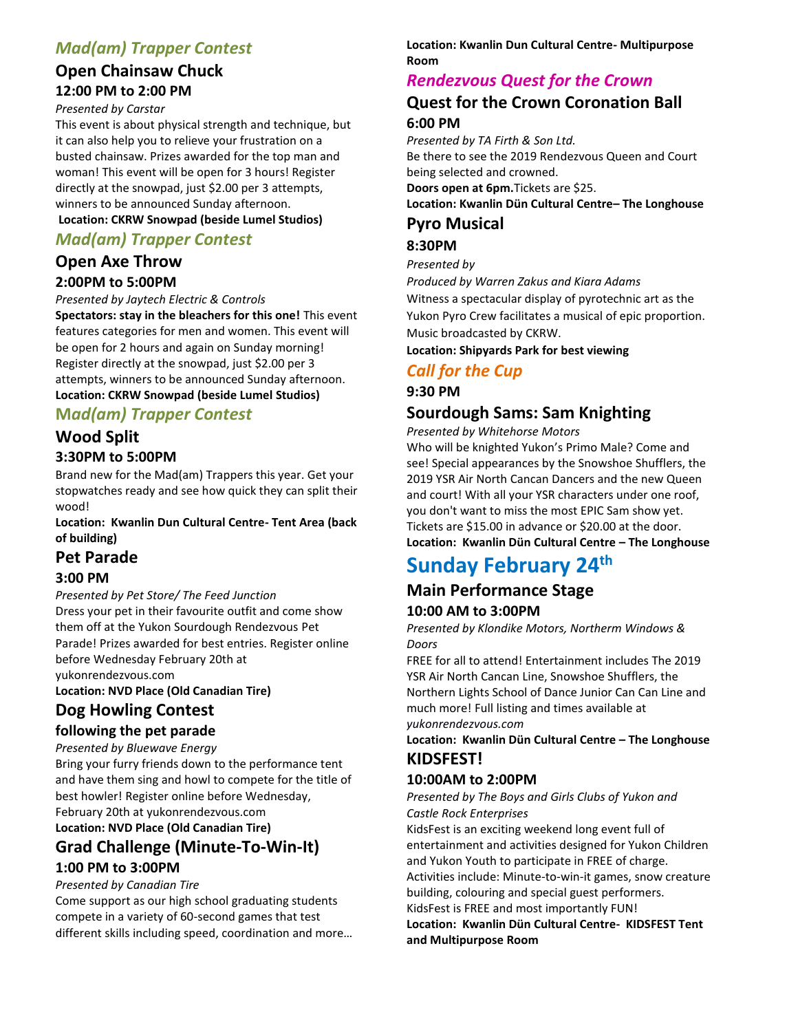## *Mad(am) Trapper Contest*

## **Open Chainsaw Chuck 12:00 PM to 2:00 PM**

### *Presented by Carstar*

This event is about physical strength and technique, but it can also help you to relieve your frustration on a busted chainsaw. Prizes awarded for the top man and woman! This event will be open for 3 hours! Register directly at the snowpad, just \$2.00 per 3 attempts, winners to be announced Sunday afternoon.

### **Location: CKRW Snowpad (beside Lumel Studios)**

## *Mad(am) Trapper Contest*

### **Open Axe Throw 2:00PM to 5:00PM**

*Presented by Jaytech Electric & Controls*

**Spectators: stay in the bleachers for this one!** This event features categories for men and women. This event will be open for 2 hours and again on Sunday morning! Register directly at the snowpad, just \$2.00 per 3 attempts, winners to be announced Sunday afternoon.

### **Location: CKRW Snowpad (beside Lumel Studios) M***ad(am) Trapper Contest*

## **Wood Split**

### **3:30PM to 5:00PM**

Brand new for the Mad(am) Trappers this year. Get your stopwatches ready and see how quick they can split their wood!

### **Location: Kwanlin Dun Cultural Centre- Tent Area (back of building)**

### **Pet Parade**

### **3:00 PM**

*Presented by Pet Store/ The Feed Junction* Dress your pet in their favourite outfit and come show them off at the Yukon Sourdough Rendezvous Pet Parade! Prizes awarded for best entries. Register online before Wednesday February 20th at yukonrendezvous.com

**Location: NVD Place (Old Canadian Tire)**

## **Dog Howling Contest**

### **following the pet parade**

*Presented by Bluewave Energy* 

Bring your furry friends down to the performance tent and have them sing and howl to compete for the title of best howler! Register online before Wednesday, February 20th at yukonrendezvous.com **Location: NVD Place (Old Canadian Tire)**

## **Grad Challenge (Minute-To-Win-It) 1:00 PM to 3:00PM**

### *Presented by Canadian Tire*

Come support as our high school graduating students compete in a variety of 60-second games that test different skills including speed, coordination and more…

### **Location: Kwanlin Dun Cultural Centre- Multipurpose Room**

## *Rendezvous Quest for the Crown*

## **Quest for the Crown Coronation Ball 6:00 PM**

*Presented by TA Firth & Son Ltd.* Be there to see the 2019 Rendezvous Queen and Court being selected and crowned. **Doors open at 6pm.**Tickets are \$25. **Location: Kwanlin Dün Cultural Centre– The Longhouse** 

## **Pyro Musical**

## **8:30PM**

*Presented by* 

*Produced by Warren Zakus and Kiara Adams* Witness a spectacular display of pyrotechnic art as the Yukon Pyro Crew facilitates a musical of epic proportion. Music broadcasted by CKRW.

**Location: Shipyards Park for best viewing** 

## *Call for the Cup*

**9:30 PM**

## **Sourdough Sams: Sam Knighting**

*Presented by Whitehorse Motors*

Who will be knighted Yukon's Primo Male? Come and see! Special appearances by the Snowshoe Shufflers, the 2019 YSR Air North Cancan Dancers and the new Queen and court! With all your YSR characters under one roof, you don't want to miss the most EPIC Sam show yet. Tickets are \$15.00 in advance or \$20.00 at the door.

**Location: Kwanlin Dün Cultural Centre – The Longhouse**

# **Sunday February 24th**

# **Main Performance Stage**

### **10:00 AM to 3:00PM**

*Presented by Klondike Motors, Northerm Windows & Doors*

FREE for all to attend! Entertainment includes The 2019 YSR Air North Cancan Line, Snowshoe Shufflers, the Northern Lights School of Dance Junior Can Can Line and much more! Full listing and times available at *yukonrendezvous.com*

### **Location: Kwanlin Dün Cultural Centre – The Longhouse KIDSFEST!**

### **10:00AM to 2:00PM**

*Presented by The Boys and Girls Clubs of Yukon and Castle Rock Enterprises*

KidsFest is an exciting weekend long event full of entertainment and activities designed for Yukon Children and Yukon Youth to participate in FREE of charge. Activities include: Minute-to-win-it games, snow creature building, colouring and special guest performers.

KidsFest is FREE and most importantly FUN!

**Location: Kwanlin Dün Cultural Centre- KIDSFEST Tent and Multipurpose Room**